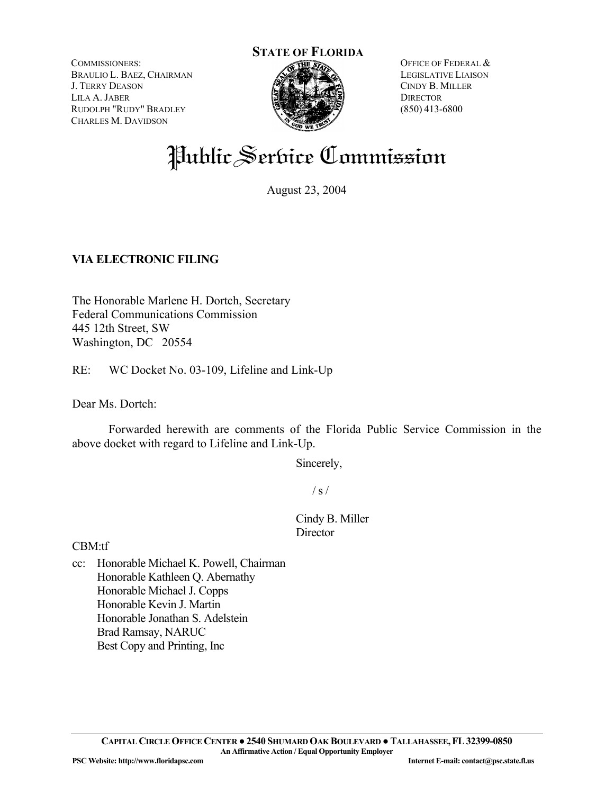COMMISSIONERS: BRAULIO L. BAEZ, CHAIRMAN J. TERRY DEASON LILA A. JABER RUDOLPH "RUDY" BRADLEY CHARLES M. DAVIDSON



OFFICE OF FEDERAL & LEGISLATIVE LIAISON CINDY B. MILLER **DIRECTOR** (850) 413-6800

# Public Serbice Commission

August 23, 2004

# **VIA ELECTRONIC FILING**

The Honorable Marlene H. Dortch, Secretary Federal Communications Commission 445 12th Street, SW Washington, DC 20554

RE: WC Docket No. 03-109, Lifeline and Link-Up

Dear Ms. Dortch:

 Forwarded herewith are comments of the Florida Public Service Commission in the above docket with regard to Lifeline and Link-Up.

Sincerely,

 $/ s /$ 

Cindy B. Miller **Director** 

CBM:tf

cc: Honorable Michael K. Powell, Chairman Honorable Kathleen Q. Abernathy Honorable Michael J. Copps Honorable Kevin J. Martin Honorable Jonathan S. Adelstein Brad Ramsay, NARUC Best Copy and Printing, Inc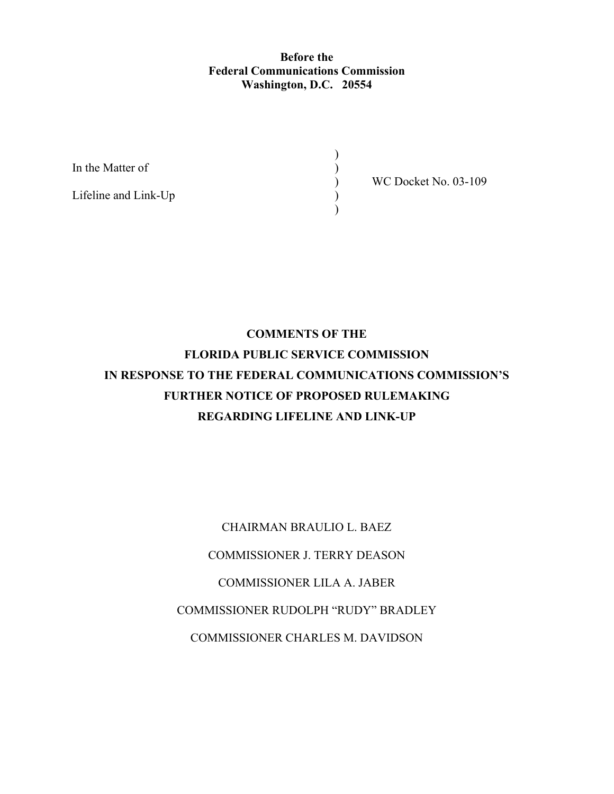### **Before the Federal Communications Commission Washington, D.C. 20554**

) ) ) ) )

In the Matter of

Lifeline and Link-Up

WC Docket No. 03-109

# **COMMENTS OF THE FLORIDA PUBLIC SERVICE COMMISSION IN RESPONSE TO THE FEDERAL COMMUNICATIONS COMMISSION'S FURTHER NOTICE OF PROPOSED RULEMAKING REGARDING LIFELINE AND LINK-UP**

CHAIRMAN BRAULIO L. BAEZ COMMISSIONER J. TERRY DEASON COMMISSIONER LILA A. JABER COMMISSIONER RUDOLPH "RUDY" BRADLEY COMMISSIONER CHARLES M. DAVIDSON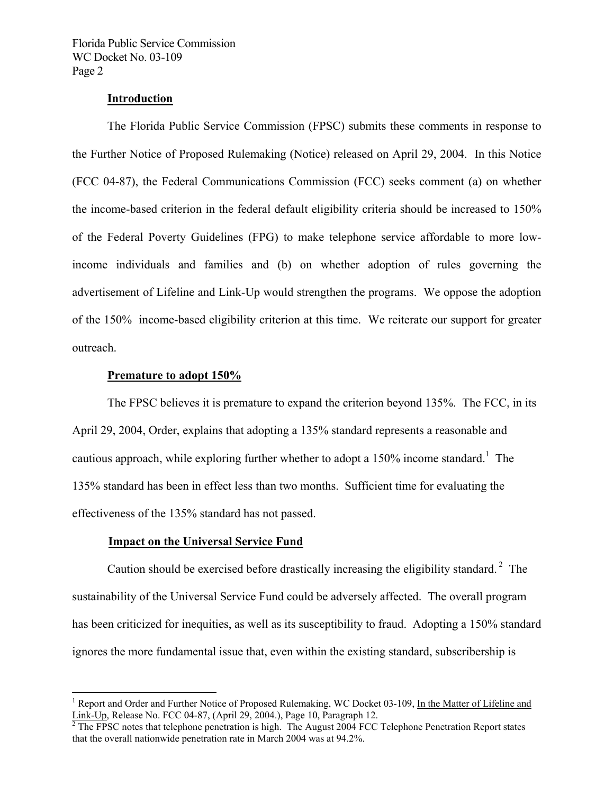#### **Introduction**

 The Florida Public Service Commission (FPSC) submits these comments in response to the Further Notice of Proposed Rulemaking (Notice) released on April 29, 2004. In this Notice (FCC 04-87), the Federal Communications Commission (FCC) seeks comment (a) on whether the income-based criterion in the federal default eligibility criteria should be increased to 150% of the Federal Poverty Guidelines (FPG) to make telephone service affordable to more lowincome individuals and families and (b) on whether adoption of rules governing the advertisement of Lifeline and Link-Up would strengthen the programs. We oppose the adoption of the 150% income-based eligibility criterion at this time. We reiterate our support for greater outreach.

#### **Premature to adopt 150%**

 The FPSC believes it is premature to expand the criterion beyond 135%. The FCC, in its April 29, 2004, Order, explains that adopting a 135% standard represents a reasonable and cautious approach, while exploring further whether to adopt a 150% income standard.<sup>1</sup> The 135% standard has been in effect less than two months. Sufficient time for evaluating the effectiveness of the 135% standard has not passed.

#### **Impact on the Universal Service Fund**

1

Caution should be exercised before drastically increasing the eligibility standard.  $2$  The sustainability of the Universal Service Fund could be adversely affected. The overall program has been criticized for inequities, as well as its susceptibility to fraud. Adopting a 150% standard ignores the more fundamental issue that, even within the existing standard, subscribership is

<sup>&</sup>lt;sup>1</sup> Report and Order and Further Notice of Proposed Rulemaking, WC Docket 03-109, In the Matter of Lifeline and Link-Up, Release No. FCC 04-87, (April 29, 2004.), Page 10, Paragraph 12.<br><sup>2</sup> The FPSC notes that telephone penetration is high. The August 2004 FCC Telephone Penetration Report states

that the overall nationwide penetration rate in March 2004 was at 94.2%.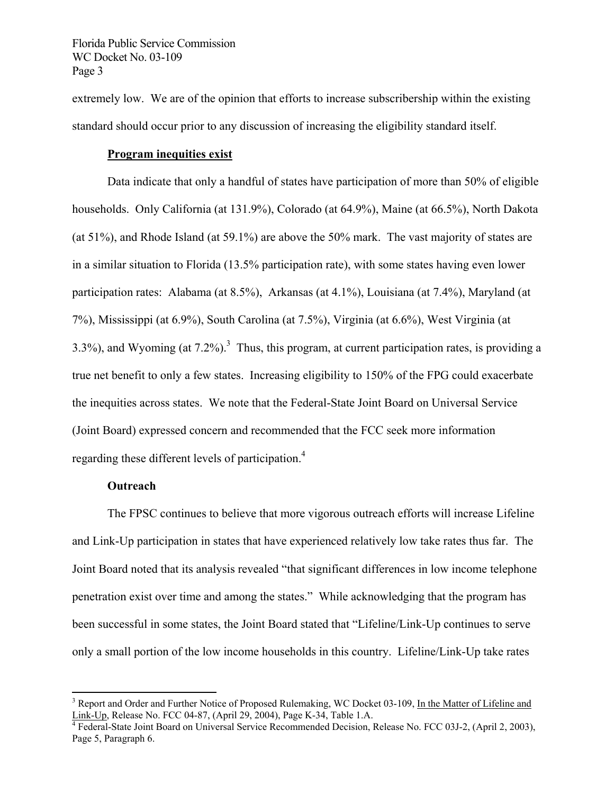extremely low. We are of the opinion that efforts to increase subscribership within the existing standard should occur prior to any discussion of increasing the eligibility standard itself.

#### **Program inequities exist**

 Data indicate that only a handful of states have participation of more than 50% of eligible households. Only California (at 131.9%), Colorado (at 64.9%), Maine (at 66.5%), North Dakota (at 51%), and Rhode Island (at 59.1%) are above the 50% mark. The vast majority of states are in a similar situation to Florida (13.5% participation rate), with some states having even lower participation rates: Alabama (at 8.5%), Arkansas (at 4.1%), Louisiana (at 7.4%), Maryland (at 7%), Mississippi (at 6.9%), South Carolina (at 7.5%), Virginia (at 6.6%), West Virginia (at 3.3%), and Wyoming (at  $7.2\%$ ).<sup>3</sup> Thus, this program, at current participation rates, is providing a true net benefit to only a few states. Increasing eligibility to 150% of the FPG could exacerbate the inequities across states. We note that the Federal-State Joint Board on Universal Service (Joint Board) expressed concern and recommended that the FCC seek more information regarding these different levels of participation.<sup>4</sup>

#### **Outreach**

 $\overline{a}$ 

 The FPSC continues to believe that more vigorous outreach efforts will increase Lifeline and Link-Up participation in states that have experienced relatively low take rates thus far. The Joint Board noted that its analysis revealed "that significant differences in low income telephone penetration exist over time and among the states." While acknowledging that the program has been successful in some states, the Joint Board stated that "Lifeline/Link-Up continues to serve only a small portion of the low income households in this country. Lifeline/Link-Up take rates

<sup>&</sup>lt;sup>3</sup> Report and Order and Further Notice of Proposed Rulemaking, WC Docket 03-109, In the Matter of Lifeline and Link-Up, Release No. FCC 04-87, (April 29, 2004), Page K-34, Table 1.A.<br><sup>4</sup> Federal-State Joint Board on Universal Service Recommended Decision, Release No. FCC 03J-2, (April 2, 2003),

Page 5, Paragraph 6.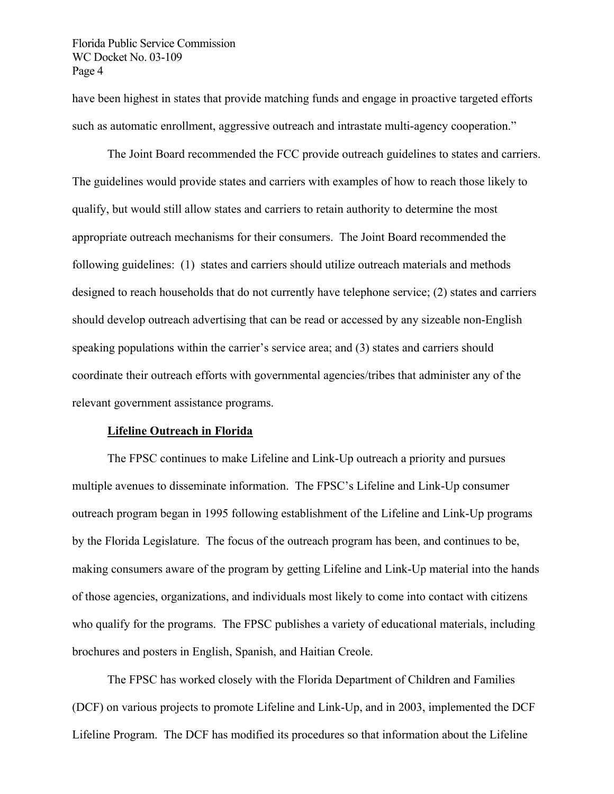have been highest in states that provide matching funds and engage in proactive targeted efforts such as automatic enrollment, aggressive outreach and intrastate multi-agency cooperation."

 The Joint Board recommended the FCC provide outreach guidelines to states and carriers. The guidelines would provide states and carriers with examples of how to reach those likely to qualify, but would still allow states and carriers to retain authority to determine the most appropriate outreach mechanisms for their consumers. The Joint Board recommended the following guidelines: (1) states and carriers should utilize outreach materials and methods designed to reach households that do not currently have telephone service; (2) states and carriers should develop outreach advertising that can be read or accessed by any sizeable non-English speaking populations within the carrier's service area; and (3) states and carriers should coordinate their outreach efforts with governmental agencies/tribes that administer any of the relevant government assistance programs.

#### **Lifeline Outreach in Florida**

 The FPSC continues to make Lifeline and Link-Up outreach a priority and pursues multiple avenues to disseminate information. The FPSC's Lifeline and Link-Up consumer outreach program began in 1995 following establishment of the Lifeline and Link-Up programs by the Florida Legislature. The focus of the outreach program has been, and continues to be, making consumers aware of the program by getting Lifeline and Link-Up material into the hands of those agencies, organizations, and individuals most likely to come into contact with citizens who qualify for the programs. The FPSC publishes a variety of educational materials, including brochures and posters in English, Spanish, and Haitian Creole.

 The FPSC has worked closely with the Florida Department of Children and Families (DCF) on various projects to promote Lifeline and Link-Up, and in 2003, implemented the DCF Lifeline Program. The DCF has modified its procedures so that information about the Lifeline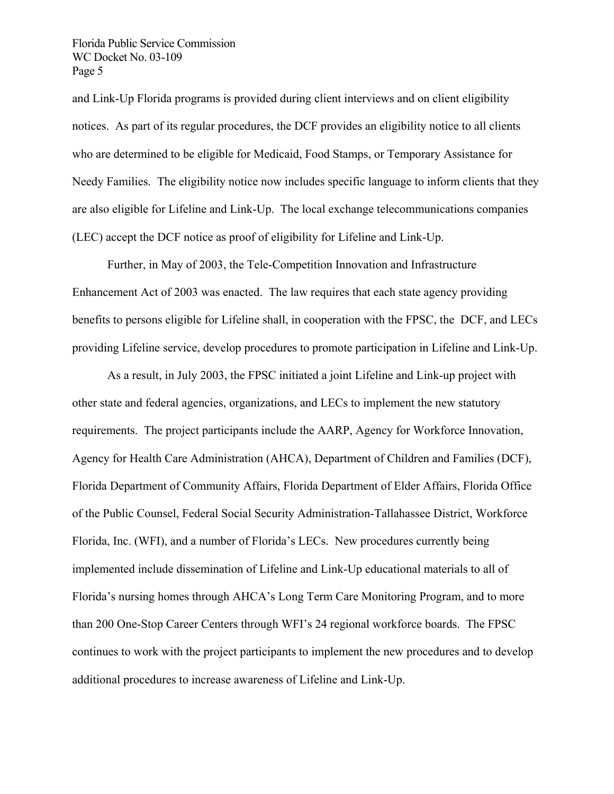and Link-Up Florida programs is provided during client interviews and on client eligibility notices. As part of its regular procedures, the DCF provides an eligibility notice to all clients who are determined to be eligible for Medicaid, Food Stamps, or Temporary Assistance for Needy Families. The eligibility notice now includes specific language to inform clients that they are also eligible for Lifeline and Link-Up. The local exchange telecommunications companies (LEC) accept the DCF notice as proof of eligibility for Lifeline and Link-Up.

 Further, in May of 2003, the Tele-Competition Innovation and Infrastructure Enhancement Act of 2003 was enacted. The law requires that each state agency providing benefits to persons eligible for Lifeline shall, in cooperation with the FPSC, the DCF, and LECs providing Lifeline service, develop procedures to promote participation in Lifeline and Link-Up.

 As a result, in July 2003, the FPSC initiated a joint Lifeline and Link-up project with other state and federal agencies, organizations, and LECs to implement the new statutory requirements. The project participants include the AARP, Agency for Workforce Innovation, Agency for Health Care Administration (AHCA), Department of Children and Families (DCF), Florida Department of Community Affairs, Florida Department of Elder Affairs, Florida Office of the Public Counsel, Federal Social Security Administration-Tallahassee District, Workforce Florida, Inc. (WFI), and a number of Florida's LECs. New procedures currently being implemented include dissemination of Lifeline and Link-Up educational materials to all of Florida's nursing homes through AHCA's Long Term Care Monitoring Program, and to more than 200 One-Stop Career Centers through WFI's 24 regional workforce boards. The FPSC continues to work with the project participants to implement the new procedures and to develop additional procedures to increase awareness of Lifeline and Link-Up.